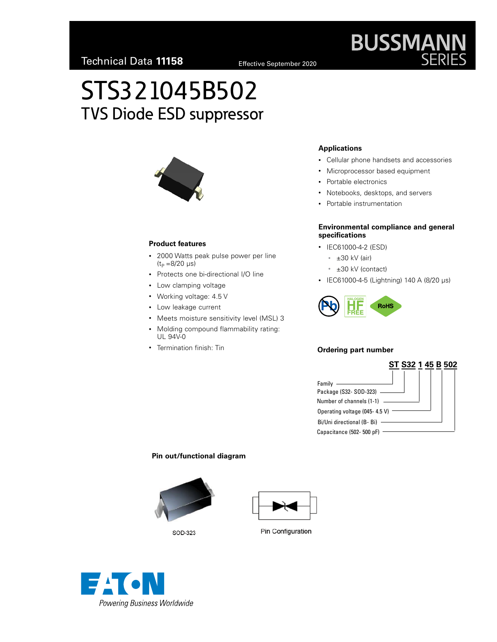# STS321045B502 TVS Diode ESD suppressor



#### **Product features**

- 2000 Watts peak pulse power per line  $(t_P = 8/20 \text{ }\mu\text{s})$
- Protects one bi-directional I/O line
- Low clamping voltage
- Working voltage: 4.5 V
- Low leakage current
- Meets moisture sensitivity level (MSL) 3
- Molding compound flammability rating: UL 94V-0
- Termination finish: Tin

#### **Applications**

- Cellular phone handsets and accessories
- Microprocessor based equipment
- Portable electronics
- Notebooks, desktops, and servers
- Portable instrumentation

#### **Environmental compliance and general specifications**

- IEC61000-4-2 (ESD)
	- $\cdot$   $\pm 30$  kV (air)
	- ±30 kV (contact)
- IEC61000-4-5 (Lightning) 140 A (8/20 µs)



#### **Ordering part number**



#### **Pin out/functional diagram**









**BUSSMANN**<br>SERIES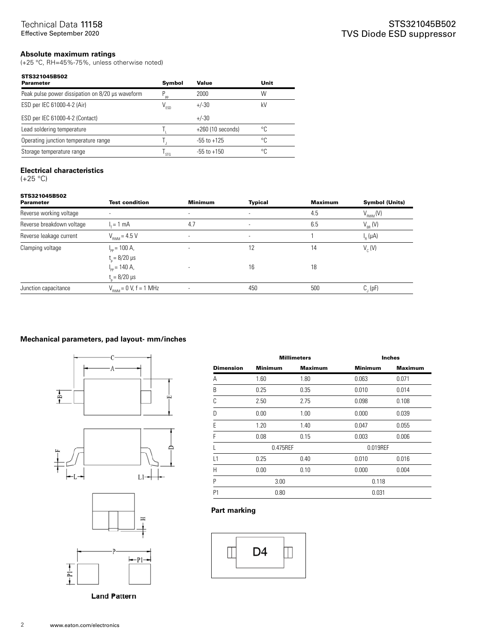#### **Absolute maximum ratings**

(+25 °C, RH=45%-75%, unless otherwise noted)

| Symbol           | Value              | Unit |
|------------------|--------------------|------|
| pp               | 2000               | W    |
| V <sub>FSD</sub> | $+/-30$            | kV   |
|                  | $+/-30$            |      |
|                  | $+260(10 seconds)$ | ۰c   |
|                  | $-55$ to $+125$    | °C   |
| <b>STG</b>       | $-55$ to $+150$    | ۰C   |
|                  |                    |      |

#### **Electrical characteristics**

 $(+25 °C)$ 

| STS321045B502<br><b>Parameter</b> | <b>Test condition</b>                                          | <b>Minimum</b> | <b>Typical</b>           | <b>Maximum</b> | <b>Symbol (Units)</b> |
|-----------------------------------|----------------------------------------------------------------|----------------|--------------------------|----------------|-----------------------|
| Reverse working voltage           |                                                                |                | $\overline{\phantom{a}}$ | 4.5            | $V_{\rm RWM}(V)$      |
| Reverse breakdown voltage         | $I_r = 1$ mA                                                   | 4.7            | $\overline{\phantom{a}}$ | 6.5            | $V_{BB}$ (V)          |
| Reverse leakage current           | $V_{\text{RWM}}$ = 4.5 V                                       | $\sim$         | $\overline{\phantom{a}}$ |                | $I_R(\mu A)$          |
| Clamping voltage                  | $I_{\text{op}}$ = 100 A,<br>$t_{0} = 8/20 \text{ }\mu\text{s}$ |                | 12                       | 14             | $V_c$ (V)             |
|                                   | $I_{\text{op}}$ = 140 A,<br>$t_{\rm c} = 8/20 \ \mu s$         |                | 16                       | 18             |                       |
| Junction capacitance              | $V_{\text{RWM}} = 0$ V, f = 1 MHz                              |                | 450                      | 500            | $C_{1}$ (pF)          |

#### **Mechanical parameters, pad layout- mm/inches**





**Land Pattern** 

|                  | <b>Millimeters</b> |                |                | <b>Inches</b>  |
|------------------|--------------------|----------------|----------------|----------------|
| <b>Dimension</b> | <b>Minimum</b>     | <b>Maximum</b> | <b>Minimum</b> | <b>Maximum</b> |
| Α                | 1.60               | 1.80           | 0.063          | 0.071          |
| B                | 0.25               | 0.35           | 0.010          | 0.014          |
| C                | 2.50               | 2.75           | 0.098          | 0.108          |
| D                | 0.00               | 1.00           | 0.000          | 0.039          |
| E                | 1.20               | 1.40           | 0.047          | 0.055          |
| F                | 0.08               | 0.15           | 0.003          | 0.006          |
|                  | 0.475REF           |                | 0.019REF       |                |
| L1               | 0.25               | 0.40           | 0.010          | 0.016          |
| H                | 0.00               | 0.10           | 0.000          | 0.004          |
| P                | 3.00               |                | 0.118          |                |
| P <sub>1</sub>   | 0.80               |                | 0.031          |                |

#### **Part marking**

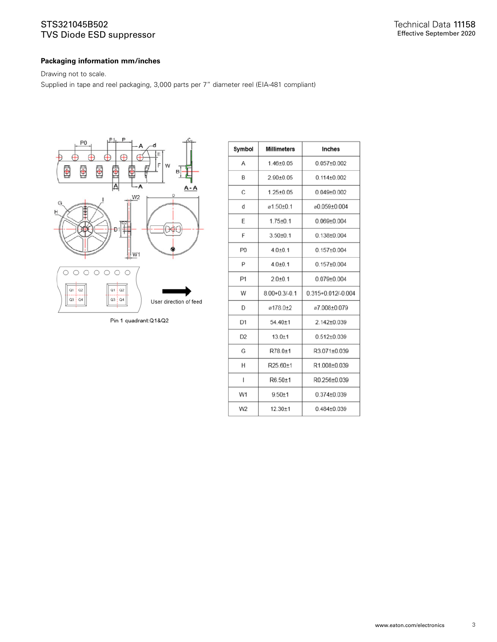### STS321045B502 TVS Diode ESD suppressor

#### **Packaging information mm/inches**

Drawing not to scale.

Supplied in tape and reel packaging, 3,000 parts per 7" diameter reel (EIA-481 compliant)



Pin 1 quadrant:Q1&Q2

| Symbol         | <b>Millimeters</b>  | Inches                 |
|----------------|---------------------|------------------------|
| А              | $1.46 + 0.05$       | $0.057 + 0.002$        |
| B              | $2.90 \pm 0.05$     | $0.114 + 0.002$        |
| C              | $1.25 \pm 0.05$     | $0.049 + 0.002$        |
| d              | ø1.50±0.1           | @0.059+0.004           |
| F              | $1.75 \pm 0.1$      | $0.069 + 0.004$        |
| F              | $3.50 + 0.1$        | $0.138 + 0.004$        |
| P <sub>0</sub> | $4.0 + 0.1$         | $0.157 + 0.004$        |
| P              | $4.0{\pm}0.1$       | $0.157 \pm 0.004$      |
| P <sub>1</sub> | $2.0 + 0.1$         | $0.079 + 0.004$        |
| W              | $8.00 + 0.3 / -0.1$ | $0.315 + 0.012/-0.004$ |
| D              | ø178.0+2            | ø7.008+0.079           |
| D <sub>1</sub> | $54.40 \pm 1$       | $2.142 \pm 0.039$      |
| D <sub>2</sub> | $13.0 + 1$          | $0.512 + 0.039$        |
| G              | R78.0±1             | R3.071±0.039           |
| Η              | R25.60±1            | R1.008±0.039           |
| ı              | $R6.50 + 1$         | R0.256±0.039           |
| W1             | $9.50 + 1$          | $0.374 \pm 0.039$      |
| W <sub>2</sub> | $12.30 + 1$         | $0.484 \pm 0.039$      |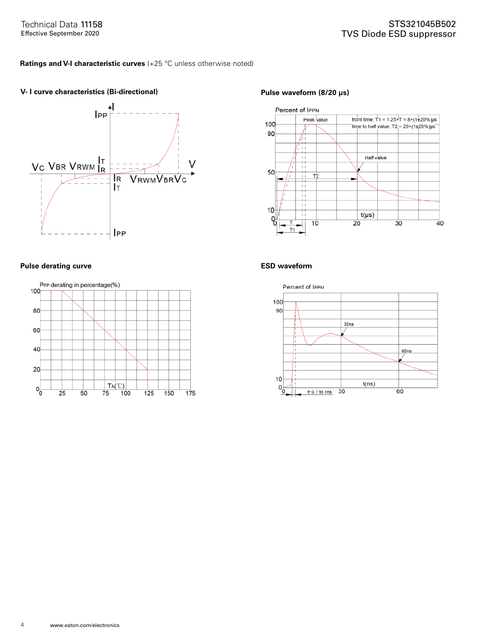### **Ratings and V-I characteristic curves** (+25 °C unless otherwise noted)

### V- I curve characteristics (Bi-directional) **Pulse waveform (8/20 µs)**





#### **Pulse derating curve ESD waveform**



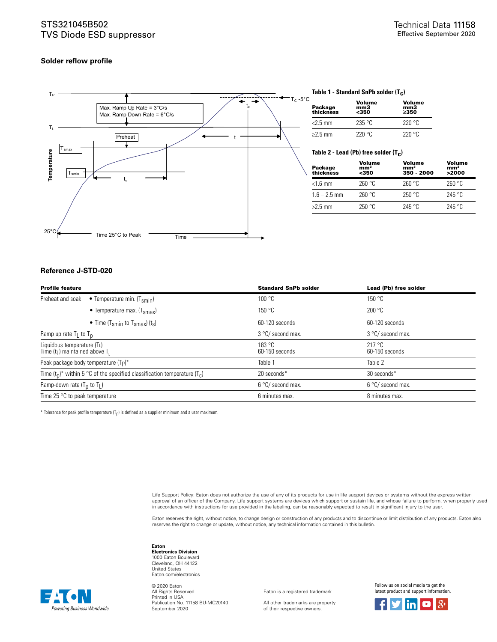#### STS321045B502 TVS Diode ESD suppressor

#### **Solder reflow profile**



#### **Table 1 - Standard SnPb solder (T c )**

| Package<br>thickness | Volume<br>mm3<br>$350$ | Volume<br>mm3<br>>350 |
|----------------------|------------------------|-----------------------|
| $<$ 2.5 mm           | 235 °C                 | 220°C                 |
| $\geq$ 2.5 mm        | 220 °C                 | 220°C                 |

#### **Table 2 - Lead (Pb) free solder (T c )**

| Package<br>thickness | Volume<br>mm <sup>3</sup><br><350 | Volume<br>mm <sup>3</sup><br>350 - 2000 | Volume<br>mm <sup>3</sup><br>>2000 |
|----------------------|-----------------------------------|-----------------------------------------|------------------------------------|
| $<$ 1.6 mm           | 260 °C                            | 260 °C                                  | 260 °C                             |
| $1.6 - 2.5$ mm       | 260 °C                            | 250 °C                                  | 245 °C                             |
| $>2.5$ mm            | 250 °C                            | $245$ °C                                | 245 °C                             |

#### **Reference J-STD-020**

| <b>Profile feature</b>                                                         | <b>Standard SnPb solder</b> | Lead (Pb) free solder    |
|--------------------------------------------------------------------------------|-----------------------------|--------------------------|
| Preheat and soak<br>• Temperature min. $(T_{smin})$                            | 100 °C                      | 150 °C                   |
| • Temperature max. $(Tsmax)$                                                   | 150 °C                      | 200 °C                   |
| • Time (T <sub>smin</sub> to T <sub>smax</sub> ) (t <sub>s</sub> )             | 60-120 seconds              | 60-120 seconds           |
| Ramp up rate $T_L$ to $T_D$                                                    | 3 °C/ second max.           | 3 °C/ second max.        |
| Liquidous temperature (TL)<br>Time $(tL)$ maintained above T <sub>1</sub>      | 183 °C<br>60-150 seconds    | 217 °C<br>60-150 seconds |
| Peak package body temperature (T <sub>P</sub> )*                               | Table 1                     | Table 2                  |
| Time $(t_0)^*$ within 5 °C of the specified classification temperature $(T_c)$ | 20 seconds*                 | 30 seconds*              |
| Ramp-down rate $(T_0$ to $T_L$ )                                               | 6 °C/ second max.           | 6 °C/ second max.        |
| Time 25 $\degree$ C to peak temperature                                        | 6 minutes max.              | 8 minutes max.           |

 $^*$  Tolerance for peak profile temperature (T<sub>p</sub>) is defined as a supplier minimum and a user maximum.

Life Support Policy: Eaton does not authorize the use of any of its products for use in life support devices or systems without the express written approval of an officer of the Company. Life support systems are devices which support or sustain life, and whose failure to perform, when properly used in accordance with instructions for use provided in the labeling, can be reasonably expected to result in significant injury to the user.

Eaton reserves the right, without notice, to change design or construction of any products and to discontinue or limit distribution of any products. Eaton also<br>reserves the right to change or update, without notice, any te

#### **Eaton**

**Electronics Division** 1000 Eaton Boulevard Cleveland, OH 44122 United States Eaton.com/electronics

Powering Business Worldwide

© 2020 Eaton All Rights Reserved Printed in USA Publication No. 11158 BU-MC20140 September 2020

Eaton is a registered trademark.

All other trademarks are property of their respective owners.

Follow us on social media to get the latest product and support information.